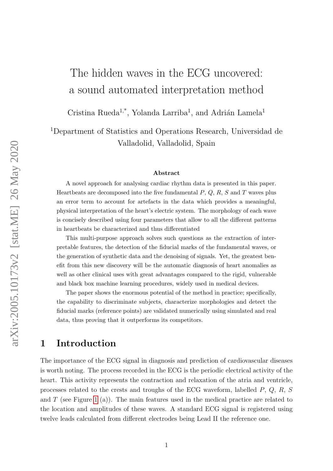# The hidden waves in the ECG uncovered: a sound automated interpretation method

Cristina Rueda<sup>1,\*</sup>, Yolanda Larriba<sup>1</sup>, and Adrián Lamela<sup>1</sup>

<sup>1</sup>Department of Statistics and Operations Research, Universidad de Valladolid, Valladolid, Spain

#### Abstract

A novel approach for analysing cardiac rhythm data is presented in this paper. Heartbeats are decomposed into the five fundamental  $P, Q, R, S$  and T waves plus an error term to account for artefacts in the data which provides a meaningful, physical interpretation of the heart's electric system. The morphology of each wave is concisely described using four parameters that allow to all the different patterns in heartbeats be characterized and thus differentiated

This multi-purpose approach solves such questions as the extraction of interpretable features, the detection of the fiducial marks of the fundamental waves, or the generation of synthetic data and the denoising of signals. Yet, the greatest benefit from this new discovery will be the automatic diagnosis of heart anomalies as well as other clinical uses with great advantages compared to the rigid, vulnerable and black box machine learning procedures, widely used in medical devices.

The paper shows the enormous potential of the method in practice; specifically, the capability to discriminate subjects, characterize morphologies and detect the fiducial marks (reference points) are validated numerically using simulated and real data, thus proving that it outperforms its competitors.

#### 1 Introduction

The importance of the ECG signal in diagnosis and prediction of cardiovascular diseases is worth noting. The process recorded in the ECG is the periodic electrical activity of the heart. This activity represents the contraction and relaxation of the atria and ventricle, processes related to the crests and troughs of the ECG waveform, labelled P, Q, R, S and  $T$  (see Figure [1](#page-2-0) (a)). The main features used in the medical practice are related to the location and amplitudes of these waves. A standard ECG signal is registered using twelve leads calculated from different electrodes being Lead II the reference one.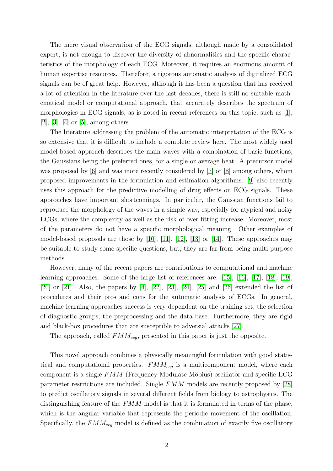The mere visual observation of the ECG signals, although made by a consolidated expert, is not enough to discover the diversity of abnormalities and the specific characteristics of the morphology of each ECG. Moreover, it requires an enormous amount of human expertise resources. Therefore, a rigorous automatic analysis of digitalized ECG signals can be of great help. However, although it has been a question that has received a lot of attention in the literature over the last decades, there is still no suitable mathematical model or computational approach, that accurately describes the spectrum of morphologies in ECG signals, as is noted in recent references on this topic, such as [\[1\]](#page-13-0),  $[2]$ ,  $[3]$ ,  $[4]$  or  $[5]$ , among others.

The literature addressing the problem of the automatic interpretation of the ECG is so extensive that it is difficult to include a complete review here. The most widely used model-based approach describes the main waves with a combination of basic functions, the Gaussians being the preferred ones, for a single or average beat. A precursor model was proposed by [\[6\]](#page-13-5) and was more recently considered by [\[7\]](#page-13-6) or [\[8\]](#page-14-0) among others, whom proposed improvements in the formulation and estimation algorithms. [\[9\]](#page-14-1) also recently uses this approach for the predictive modelling of drug effects on ECG signals. These approaches have important shortcomings. In particular, the Gaussian functions fail to reproduce the morphology of the waves in a simple way, especially for atypical and noisy ECGs, where the complexity as well as the risk of over fitting increase. Moreover, most of the parameters do not have a specific morphological meaning. Other examples of model-based proposals are those by [\[10\]](#page-14-2), [\[11\]](#page-14-3), [\[12\]](#page-14-4), [\[13\]](#page-14-5) or [\[14\]](#page-14-6). These approaches may be suitable to study some specific questions, but, they are far from being multi-purpose methods.

However, many of the recent papers are contributions to computational and machine learning approaches. Some of the large list of references are: [\[15\]](#page-14-7), [\[16\]](#page-14-8), [\[17\]](#page-14-9), [\[18\]](#page-14-10), [\[19\]](#page-14-11), [\[20\]](#page-14-12) or [\[21\]](#page-15-0). Also, the papers by [\[4\]](#page-13-3), [\[22\]](#page-15-1), [\[23\]](#page-15-2), [\[24\]](#page-15-3), [\[25\]](#page-15-4) and [\[26\]](#page-15-5) extended the list of procedures and their pros and cons for the automatic analysis of ECGs. In general, machine learning approaches success is very dependent on the training set, the selection of diagnostic groups, the preprocessing and the data base. Furthermore, they are rigid and black-box procedures that are susceptible to adversial attacks [\[27\]](#page-15-6).

The approach, called  $FMM_{ecq}$ , presented in this paper is just the opposite.

This novel approach combines a physically meaningful formulation with good statistical and computational properties.  $FMM_{eca}$  is a multicomponent model, where each component is a single  $FMM$  (Frequency Modulate Möbius) oscillator and specific ECG parameter restrictions are included. Single FMM models are recently proposed by [\[28\]](#page-15-7) to predict oscillatory signals in several different fields from biology to astrophysics. The distinguishing feature of the  $FMM$  model is that it is formulated in terms of the phase, which is the angular variable that represents the periodic movement of the oscillation. Specifically, the  $FMM_{eq}$  model is defined as the combination of exactly five oscillatory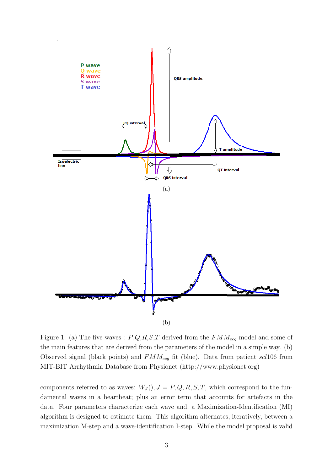<span id="page-2-0"></span>

Figure 1: (a) The five waves :  $P,Q,R,S,T$  derived from the  $FMM_{ecg}$  model and some of the main features that are derived from the parameters of the model in a simple way. (b) Observed signal (black points) and  $FMM_{ecq}$  fit (blue). Data from patient sel106 from MIT-BIT Arrhythmia Database from Physionet (http://www.physionet.org)

components referred to as waves:  $W_J()$ ,  $J = P, Q, R, S, T$ , which correspond to the fundamental waves in a heartbeat; plus an error term that accounts for artefacts in the data. Four parameters characterize each wave and, a Maximization-Identification (MI) algorithm is designed to estimate them. This algorithm alternates, iteratively, between a maximization M-step and a wave-identification I-step. While the model proposal is valid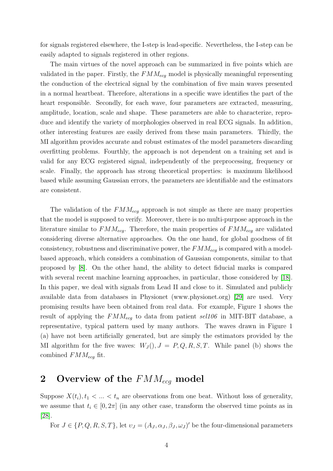for signals registered elsewhere, the I-step is lead-specific. Nevertheless, the I-step can be easily adapted to signals registered in other regions.

The main virtues of the novel approach can be summarized in five points which are validated in the paper. Firstly, the  $FMM_{ecq}$  model is physically meaningful representing the conduction of the electrical signal by the combination of five main waves presented in a normal heartbeat. Therefore, alterations in a specific wave identifies the part of the heart responsible. Secondly, for each wave, four parameters are extracted, measuring, amplitude, location, scale and shape. These parameters are able to characterize, reproduce and identify the variety of morphologies observed in real ECG signals. In addition, other interesting features are easily derived from these main parameters. Thirdly, the MI algorithm provides accurate and robust estimates of the model parameters discarding overfitting problems. Fourthly, the approach is not dependent on a training set and is valid for any ECG registered signal, independently of the preprocessing, frequency or scale. Finally, the approach has strong theoretical properties: is maximum likelihood based while assuming Gaussian errors, the parameters are identifiable and the estimators are consistent.

The validation of the  $FMM_{ecq}$  approach is not simple as there are many properties that the model is supposed to verify. Moreover, there is no multi-purpose approach in the literature similar to  $FMM_{eq}$ . Therefore, the main properties of  $FMM_{eq}$  are validated considering diverse alternative approaches. On the one hand, for global goodness of fit consistency, robustness and discriminative power, the  $FMM_{ecq}$  is compared with a modelbased approach, which considers a combination of Gaussian components, similar to that proposed by [\[8\]](#page-14-0). On the other hand, the ability to detect fiducial marks is compared with several recent machine learning approaches, in particular, those considered by [\[18\]](#page-14-10). In this paper, we deal with signals from Lead II and close to it. Simulated and publicly available data from databases in Physionet (www.physionet.org) [\[29\]](#page-15-8) are used. Very promising results have been obtained from real data. For example, Figure 1 shows the result of applying the  $FMM_{ecq}$  to data from patient sel106 in MIT-BIT database, a representative, typical pattern used by many authors. The waves drawn in Figure 1 (a) have not been artificially generated, but are simply the estimators provided by the MI algorithm for the five waves:  $W_J(.)$ ,  $J = P,Q,R,S,T$ . While panel (b) shows the combined  $FMM_{ecq}$  fit.

# 2 Overview of the  $FMM_{ecq}$  model

Suppose  $X(t_i)$ ,  $t_1 < ... < t_n$  are observations from one beat. Without loss of generality, we assume that  $t_i \in [0, 2\pi]$  (in any other case, transform the observed time points as in [\[28\]](#page-15-7).

For  $J \in \{P, Q, R, S, T\}$ , let  $v_J = (A_J, \alpha_J, \beta_J, \omega_J)'$  be the four-dimensional parameters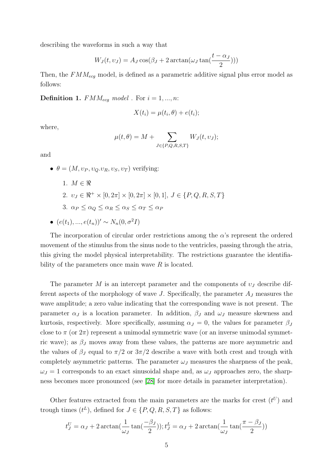describing the waveforms in such a way that

$$
W_J(t, v_J) = A_J \cos(\beta_J + 2 \arctan(\omega_J \tan(\frac{t - \alpha_J}{2})))
$$

Then, the  $FMM_{ecg}$  model, is defined as a parametric additive signal plus error model as follows:

<span id="page-4-0"></span>**Definition 1.**  $FMM_{ecg} \ model$ . For  $i = 1, ..., n$ :

$$
X(t_i) = \mu(t_i, \theta) + e(t_i);
$$

where,

$$
\mu(t,\theta) = M + \sum_{J \in \{P,Q,R,S,T\}} W_J(t,v_J);
$$

and

•  $\theta = (M, v_P, v_Q, v_R, v_S, v_T)$  verifying:

- 1.  $M \in \Re$
- 2.  $v_J \in \Re^+ \times [0, 2\pi] \times [0, 2\pi] \times [0, 1], J \in \{P, Q, R, S, T\}$
- 3.  $\alpha_P < \alpha_Q < \alpha_R < \alpha_S < \alpha_T < \alpha_P$
- $(e(t_1), ..., e(t_n))' \sim N_n(0, \sigma^2 I)$

The incorporation of circular order restrictions among the  $\alpha$ 's represent the ordered movement of the stimulus from the sinus node to the ventricles, passing through the atria, this giving the model physical interpretability. The restrictions guarantee the identifiability of the parameters once main wave  $R$  is located.

The parameter M is an intercept parameter and the components of  $v<sub>J</sub>$  describe different aspects of the morphology of wave  $J$ . Specifically, the parameter  $A_J$  measures the wave amplitude; a zero value indicating that the corresponding wave is not present. The parameter  $\alpha_J$  is a location parameter. In addition,  $\beta_J$  and  $\omega_J$  measure skewness and kurtosis, respectively. More specifically, assuming  $\alpha_J = 0$ , the values for parameter  $\beta_J$ close to  $\pi$  (or  $2\pi$ ) represent a unimodal symmetric wave (or an inverse unimodal symmetric wave); as  $\beta_J$  moves away from these values, the patterns are more asymmetric and the values of  $\beta_J$  equal to  $\pi/2$  or  $3\pi/2$  describe a wave with both crest and trough with completely asymmetric patterns. The parameter  $\omega_J$  measures the sharpness of the peak,  $\omega_J = 1$  corresponds to an exact sinusoidal shape and, as  $\omega_J$  approaches zero, the sharpness becomes more pronounced (see [\[28\]](#page-15-7) for more details in parameter interpretation).

Other features extracted from the main parameters are the marks for crest  $(t^U)$  and trough times  $(t^L)$ , defined for  $J \in \{P, Q, R, S, T\}$  as follows:

$$
t_J^U = \alpha_J + 2\arctan(\frac{1}{\omega_J}\tan(\frac{-\beta_J}{2})); t_J^L = \alpha_J + 2\arctan(\frac{1}{\omega_J}\tan(\frac{\pi-\beta_J}{2}))
$$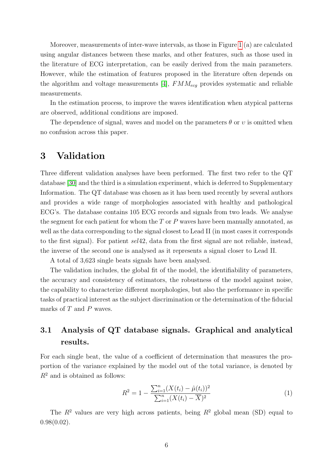Moreover, measurements of inter-wave intervals, as those in Figure [1](#page-2-0) (a) are calculated using angular distances between these marks, and other features, such as those used in the literature of ECG interpretation, can be easily derived from the main parameters. However, while the estimation of features proposed in the literature often depends on the algorithm and voltage measurements [\[4\]](#page-13-3),  $FMM_{eca}$  provides systematic and reliable measurements.

In the estimation process, to improve the waves identification when atypical patterns are observed, additional conditions are imposed.

The dependence of signal, waves and model on the parameters  $\theta$  or  $\nu$  is omitted when no confusion across this paper.

#### 3 Validation

Three different validation analyses have been performed. The first two refer to the QT database [\[30\]](#page-15-9) and the third is a simulation experiment, which is deferred to Supplementary Information. The QT database was chosen as it has been used recently by several authors and provides a wide range of morphologies associated with healthy and pathological ECG's. The database contains 105 ECG records and signals from two leads. We analyse the segment for each patient for whom the  $T$  or  $P$  waves have been manually annotated, as well as the data corresponding to the signal closest to Lead II (in most cases it corresponds to the first signal). For patient sel42, data from the first signal are not reliable, instead, the inverse of the second one is analysed as it represents a signal closer to Lead II.

A total of 3,623 single beats signals have been analysed.

The validation includes, the global fit of the model, the identifiability of parameters, the accuracy and consistency of estimators, the robustness of the model against noise, the capability to characterize different morphologies, but also the performance in specific tasks of practical interest as the subject discrimination or the determination of the fiducial marks of T and P waves.

#### 3.1 Analysis of QT database signals. Graphical and analytical results.

For each single beat, the value of a coefficient of determination that measures the proportion of the variance explained by the model out of the total variance, is denoted by  $R^2$  and is obtained as follows:

<span id="page-5-0"></span>
$$
R^{2} = 1 - \frac{\sum_{i=1}^{n} (X(t_{i}) - \hat{\mu}(t_{i}))^{2}}{\sum_{i=1}^{n} (X(t_{i}) - \overline{X})^{2}}
$$
(1)

The  $R^2$  values are very high across patients, being  $R^2$  global mean (SD) equal to  $0.98(0.02)$ .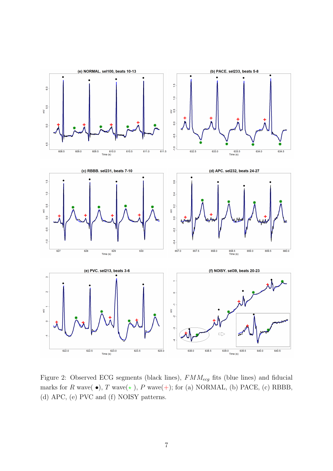<span id="page-6-0"></span>

Figure 2: Observed ECG segments (black lines),  $FMM_{ecg}$  fits (blue lines) and fiducial marks for R wave( $\bullet$ ), T wave( $\star$ ), P wave(+); for (a) NORMAL, (b) PACE, (c) RBBB, (d) APC, (e) PVC and (f) NOISY patterns.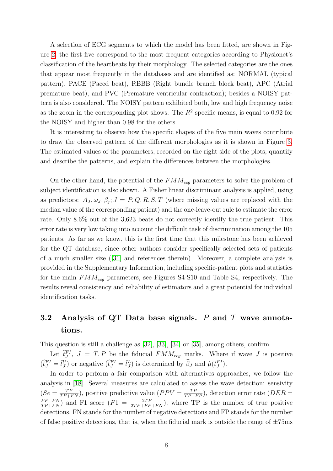A selection of ECG segments to which the model has been fitted, are shown in Figure [2,](#page-6-0) the first five correspond to the most frequent categories according to Physionet's classification of the heartbeats by their morphology. The selected categories are the ones that appear most frequently in the databases and are identified as: NORMAL (typical pattern), PACE (Paced beat), RBBB (Right bundle branch block beat), APC (Atrial premature beat), and PVC (Premature ventricular contraction); besides a NOISY pattern is also considered. The NOISY pattern exhibited both, low and high frequency noise as the zoom in the corresponding plot shows. The  $R^2$  specific means, is equal to 0.92 for the NOISY and higher than 0.98 for the others.

It is interesting to observe how the specific shapes of the five main waves contribute to draw the observed pattern of the different morphologies as it is shown in Figure [3.](#page-8-0) The estimated values of the parameters, recorded on the right side of the plots, quantify and describe the patterns, and explain the differences between the morphologies.

On the other hand, the potential of the  $FMM_{ecq}$  parameters to solve the problem of subject identification is also shown. A Fisher linear discriminant analysis is applied, using as predictors:  $A_J, \omega_J, \beta_j; J = P, Q, R, S, T$  (where missing values are replaced with the median value of the corresponding patient) and the one-leave-out rule to estimate the error rate. Only 8.6% out of the 3,623 beats do not correctly identify the true patient. This error rate is very low taking into account the difficult task of discrimination among the 105 patients. As far as we know, this is the first time that this milestone has been achieved for the QT database, since other authors consider specifically selected sets of patients of a much smaller size ([\[31\]](#page-15-10) and references therein). Moreover, a complete analysis is provided in the Supplementary Information, including specific-patient plots and statistics for the main  $FMM_{ecq}$  parameters, see Figures S4-S10 and Table S4, respectively. The results reveal consistency and reliability of estimators and a great potential for individual identification tasks.

### 3.2 Analysis of QT Data base signals.  $P$  and  $T$  wave annotations.

This question is still a challenge as [\[32\]](#page-15-11), [\[33\]](#page-15-12), [\[34\]](#page-16-0) or [\[35\]](#page-16-1), among others, confirm.

Let  $\hat{t}_J^{FI}$ ,  $J = T, P$  be the fiducial  $FMM_{ecg}$  marks. Where if wave J is positive  $(\hat{t}_J^{FI} = \hat{t}_J^U)$  or negative  $(\hat{t}_J^{FI} = \hat{t}_J^L)$  is determined by  $\hat{\beta}_J$  and  $\hat{\mu}(t_J^{FI})$ .

In order to perform a fair comparison with alternatives approaches, we follow the analysis in [\[18\]](#page-14-10). Several measures are calculated to assess the wave detection: sensivity  $(Se = \frac{TP}{TP+FN})$ , positive predictive value  $(PPV = \frac{TP}{TP+FP})$ , detection error rate  $(DER =$  $\frac{FP+FN}{TP+FN}$  and F1 score  $(F1 = \frac{2TP}{2TP+FP+FN})$ , where TP is the number of true positive detections, FN stands for the number of negative detections and FP stands for the number of false positive detections, that is, when the fiducial mark is outside the range of  $\pm 75$ ms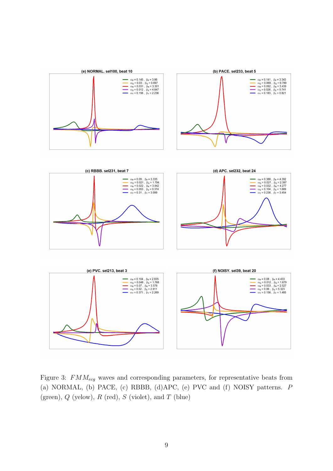<span id="page-8-0"></span>

Figure 3:  $FMM_{ecq}$  waves and corresponding parameters, for representative beats from (a) NORMAL, (b) PACE, (c) RBBB, (d)APC, (e) PVC and (f) NOISY patterns. P (green),  $Q$  (yelow),  $R$  (red),  $S$  (violet), and  $T$  (blue)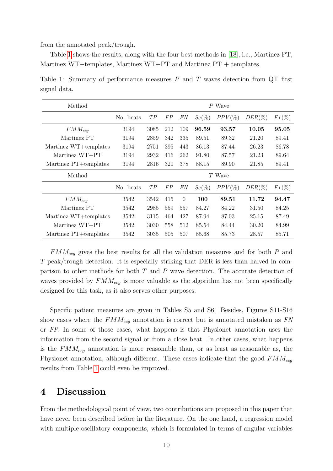from the annotated peak/trough.

Table [1](#page-9-0) shows the results, along with the four best methods in [\[18\]](#page-14-10), i.e., Martinez PT, Martinez WT+templates, Martinez WT+PT and Martinez PT + templates.

<span id="page-9-0"></span>Table 1: Summary of performance measures  $P$  and  $T$  waves detection from  $QT$  first signal data.

| Method                | $P$ Wave  |      |     |          |       |           |           |          |
|-----------------------|-----------|------|-----|----------|-------|-----------|-----------|----------|
|                       | No. beats | TP   | FP  | FN       | Se(%) | $PPV(\%)$ | $DER(\%)$ | $F1(\%)$ |
| $FMM_{eca}$           | 3194      | 3085 | 212 | 109      | 96.59 | 93.57     | 10.05     | 95.05    |
| Martinez PT           | 3194      | 2859 | 342 | 335      | 89.51 | 89.32     | 21.20     | 89.41    |
| Martinez WT+templates | 3194      | 2751 | 395 | 443      | 86.13 | 87.44     | 26.23     | 86.78    |
| Martinez WT+PT        | 3194      | 2932 | 416 | 262      | 91.80 | 87.57     | 21.23     | 89.64    |
| Martinez PT+templates | 3194      | 2816 | 320 | 378      | 88.15 | 89.90     | 21.85     | 89.41    |
| Method                | $T$ Wave  |      |     |          |       |           |           |          |
|                       | No. beats | TP   | FP  | FN       | Se(%) | $PPV(\%)$ | $DER(\%)$ | $F1(\%)$ |
| $FMM_{eca}$           | 3542      | 3542 | 415 | $\Omega$ | 100   | 89.51     | 11.72     | 94.47    |
| Martinez PT           | 3542      | 2985 | 559 | 557      | 84.27 | 84.22     | 31.50     | 84.25    |
| Martinez WT+templates | 3542      | 3115 | 464 | 427      | 87.94 | 87.03     | 25.15     | 87.49    |
| Martinez WT+PT        | 3542      | 3030 | 558 | 512      | 85.54 | 84.44     | 30.20     | 84.99    |
| Martinez PT+templates | 3542      | 3035 | 505 | 507      | 85.68 | 85.73     | 28.57     | 85.71    |

 $FMM_{ecg}$  gives the best results for all the validation measures and for both P and T peak/trough detection. It is especially striking that DER is less than halved in comparison to other methods for both T and P wave detection. The accurate detection of waves provided by  $FMM_{eq}$  is more valuable as the algorithm has not been specifically designed for this task, as it also serves other purposes.

Specific patient measures are given in Tables S5 and S6. Besides, Figures S11-S16 show cases where the  $FMM_{ecg}$  annotation is correct but is annotated mistaken as  $FN$ or FP. In some of those cases, what happens is that Physionet annotation uses the information from the second signal or from a close beat. In other cases, what happens is the  $FMM_{eq}$  annotation is more reasonable than, or as least as reasonable as, the Physionet annotation, although different. These cases indicate that the good  $FMM_{eca}$ results from Table [1](#page-9-0) could even be improved.

### 4 Discussion

From the methodological point of view, two contributions are proposed in this paper that have never been described before in the literature. On the one hand, a regression model with multiple oscillatory components, which is formulated in terms of angular variables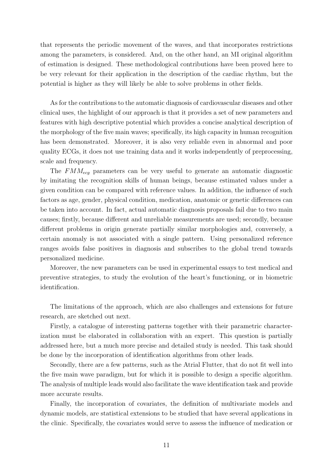that represents the periodic movement of the waves, and that incorporates restrictions among the parameters, is considered. And, on the other hand, an MI original algorithm of estimation is designed. These methodological contributions have been proved here to be very relevant for their application in the description of the cardiac rhythm, but the potential is higher as they will likely be able to solve problems in other fields.

As for the contributions to the automatic diagnosis of cardiovascular diseases and other clinical uses, the highlight of our approach is that it provides a set of new parameters and features with high descriptive potential which provides a concise analytical description of the morphology of the five main waves; specifically, its high capacity in human recognition has been demonstrated. Moreover, it is also very reliable even in abnormal and poor quality ECGs, it does not use training data and it works independently of preprocessing, scale and frequency.

The  $FMM_{ecq}$  parameters can be very useful to generate an automatic diagnostic by imitating the recognition skills of human beings, because estimated values under a given condition can be compared with reference values. In addition, the influence of such factors as age, gender, physical condition, medication, anatomic or genetic differences can be taken into account. In fact, actual automatic diagnosis proposals fail due to two main causes; firstly, because different and unreliable measurements are used; secondly, because different problems in origin generate partially similar morphologies and, conversely, a certain anomaly is not associated with a single pattern. Using personalized reference ranges avoids false positives in diagnosis and subscribes to the global trend towards personalized medicine.

Moreover, the new parameters can be used in experimental essays to test medical and preventive strategies, to study the evolution of the heart's functioning, or in biometric identification.

The limitations of the approach, which are also challenges and extensions for future research, are sketched out next.

Firstly, a catalogue of interesting patterns together with their parametric characterization must be elaborated in collaboration with an expert. This question is partially addressed here, but a much more precise and detailed study is needed. This task should be done by the incorporation of identification algorithms from other leads.

Secondly, there are a few patterns, such as the Atrial Flutter, that do not fit well into the five main wave paradigm, but for which it is possible to design a specific algorithm. The analysis of multiple leads would also facilitate the wave identification task and provide more accurate results.

Finally, the incorporation of covariates, the definition of multivariate models and dynamic models, are statistical extensions to be studied that have several applications in the clinic. Specifically, the covariates would serve to assess the influence of medication or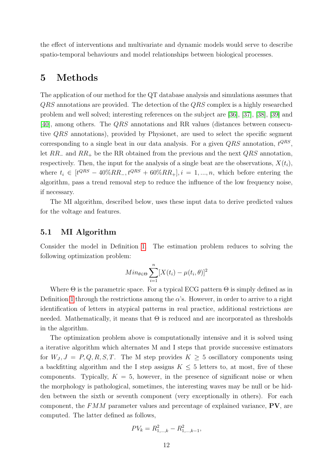the effect of interventions and multivariate and dynamic models would serve to describe spatio-temporal behaviours and model relationships between biological processes.

#### 5 Methods

The application of our method for the QT database analysis and simulations assumes that QRS annotations are provided. The detection of the QRS complex is a highly researched problem and well solved; interesting references on the subject are [\[36\]](#page-16-2), [\[37\]](#page-16-3), [\[38\]](#page-16-4), [\[39\]](#page-16-5) and [\[40\]](#page-16-6), among others. The QRS annotations and RR values (distances between consecutive QRS annotations), provided by Physionet, are used to select the specific segment corresponding to a single beat in our data analysis. For a given  $QRS$  annotation,  $t^{QRS}$ , let  $RR_-\,$  and  $RR_+\,$  be the RR obtained from the previous and the next  $QRS$  annotation, respectively. Then, the input for the analysis of a single beat are the observations,  $X(t_i)$ , where  $t_i \in [t^{QRS} - 40\%RR_-, t^{QRS} + 60\%RR_+]$ ,  $i = 1, ..., n$ , which before entering the algorithm, pass a trend removal step to reduce the influence of the low frequency noise, if necessary.

The MI algorithm, described below, uses these input data to derive predicted values for the voltage and features.

#### 5.1 MI Algorithm

Consider the model in Definition [1.](#page-4-0) The estimation problem reduces to solving the following optimization problem:

$$
Min_{\theta \in \Theta} \sum_{i=1}^{n} [X(t_i) - \mu(t_i, \theta)]^2
$$

Where  $\Theta$  is the parametric space. For a typical ECG pattern  $\Theta$  is simply defined as in Definition [1](#page-4-0) through the restrictions among the  $\alpha$ 's. However, in order to arrive to a right identification of letters in atypical patterns in real practice, additional restrictions are needed. Mathematically, it means that  $\Theta$  is reduced and are incorporated as thresholds in the algorithm.

The optimization problem above is computationally intensive and it is solved using a iterative algorithm which alternates M and I steps that provide successive estimators for  $W_J, J = P, Q, R, S, T$ . The M step provides  $K \geq 5$  oscillatory components using a backfitting algorithm and the I step assigns  $K \leq 5$  letters to, at most, five of these components. Typically,  $K = 5$ , however, in the presence of significant noise or when the morphology is pathological, sometimes, the interesting waves may be null or be hidden between the sixth or seventh component (very exceptionally in others). For each component, the  $FMM$  parameter values and percentage of explained variance,  $PV$ , are computed. The latter defined as follows,

$$
PV_k = R_{1,\dots,k}^2 - R_{1,\dots,k-1}^2,
$$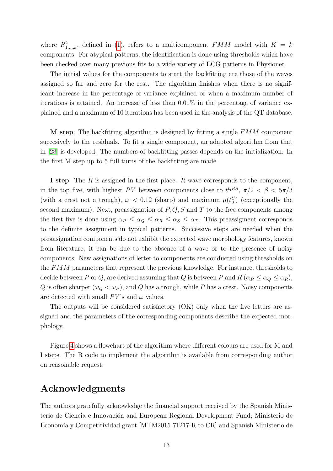where  $R_{1,\dots,k}^2$ , defined in [\(1\)](#page-5-0), refers to a multicomponent FMM model with  $K = k$ components. For atypical patterns, the identification is done using thresholds which have been checked over many previous fits to a wide variety of ECG patterns in Physionet.

The initial values for the components to start the backfitting are those of the waves assigned so far and zero for the rest. The algorithm finishes when there is no significant increase in the percentage of variance explained or when a maximum number of iterations is attained. An increase of less than 0.01% in the percentage of variance explained and a maximum of 10 iterations has been used in the analysis of the QT database.

**M** step: The backfitting algorithm is designed by fitting a single  $FMM$  component succesively to the residuals. To fit a single component, an adapted algorithm from that in [\[28\]](#page-15-7) is developed. The numbers of backfitting passes depends on the initialization. In the first M step up to 5 full turns of the backfitting are made.

I step: The R is assigned in the first place. R wave corresponds to the component, in the top five, with highest PV between components close to  $t^{QRS}$ ,  $\pi/2 < \beta < 5\pi/3$ (with a crest not a trough),  $\omega < 0.12$  (sharp) and maximum  $\mu(t_j^U)$  (exceptionally the second maximum). Next, preassignation of  $P, Q, S$  and T to the free components among the first five is done using  $\alpha_P \leq \alpha_Q \leq \alpha_R \leq \alpha_S \leq \alpha_T$ . This preassigment corresponds to the definite assignment in typical patterns. Successive steps are needed when the preaasignation components do not exhibit the expected wave morphology features, known from literature; it can be due to the absence of a wave or to the presence of noisy components. New assignations of letter to components are conducted using thresholds on the FMM parameters that represent the previous knowledge. For instance, thresholds to decide between P or Q, are derived assuming that Q is between P and  $R(\alpha_P \leq \alpha_Q \leq \alpha_R)$ , Q is often sharper  $(\omega_Q < \omega_P)$ , and Q has a trough, while P has a crest. Noisy components are detected with small  $PV$ 's and  $\omega$  values.

The outputs will be considered satisfactory (OK) only when the five letters are assigned and the parameters of the corresponding components describe the expected morphology.

Figure [4](#page-17-0) shows a flowchart of the algorithm where different colours are used for M and I steps. The R code to implement the algorithm is available from corresponding author on reasonable request.

#### Acknowledgments

The authors gratefully acknowledge the financial support received by the Spanish Ministerio de Ciencia e Innovación and European Regional Development Fund; Ministerio de Economía y Competitividad grant [MTM2015-71217-R to CR] and Spanish Ministerio de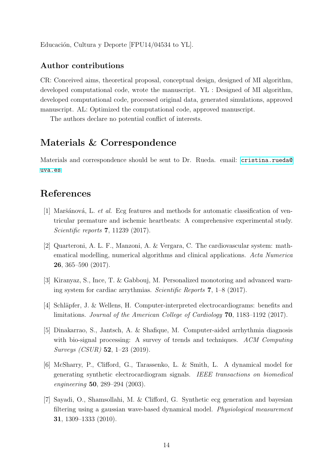Educación, Cultura y Deporte  $[FPU14/04534]$  to YL.

#### Author contributions

CR: Conceived aims, theoretical proposal, conceptual design, designed of MI algorithm, developed computational code, wrote the manuscript. YL : Designed of MI algorithm, developed computational code, processed original data, generated simulations, approved manuscript. AL: Optimized the computational code, approved manuscript.

The authors declare no potential conflict of interests.

#### Materials & Correspondence

Materials and correspondence should be sent to Dr. Rueda. email: [cristina.rueda@](cristina.rueda@uva.es) [uva.es](cristina.rueda@uva.es)

# References

- <span id="page-13-0"></span>[1] Maršánová, L. et al. Ecg features and methods for automatic classification of ventricular premature and ischemic heartbeats: A comprehensive experimental study. Scientific reports 7, 11239 (2017).
- <span id="page-13-1"></span>[2] Quarteroni, A. L. F., Manzoni, A. & Vergara, C. The cardiovascular system: mathematical modelling, numerical algorithms and clinical applications. Acta Numerica 26, 365–590 (2017).
- <span id="page-13-2"></span>[3] Kiranyaz, S., Ince, T. & Gabbouj, M. Personalized monotoring and advanced warning system for cardiac arrythmias. Scientific Reports 7, 1–8 (2017).
- <span id="page-13-3"></span>[4] Schläpfer, J. & Wellens, H. Computer-interpreted electrocardiograms: benefits and limitations. Journal of the American College of Cardiology 70, 1183–1192 (2017).
- <span id="page-13-4"></span>[5] Dinakarrao, S., Jantsch, A. & Shafique, M. Computer-aided arrhythmia diagnosis with bio-signal processing: A survey of trends and techniques. ACM Computing Surveys (CSUR) 52, 1–23 (2019).
- <span id="page-13-5"></span>[6] McSharry, P., Clifford, G., Tarassenko, L. & Smith, L. A dynamical model for generating synthetic electrocardiogram signals. IEEE transactions on biomedical engineering 50, 289–294 (2003).
- <span id="page-13-6"></span>[7] Sayadi, O., Shamsollahi, M. & Clifford, G. Synthetic ecg generation and bayesian filtering using a gaussian wave-based dynamical model. Physiological measurement 31, 1309–1333 (2010).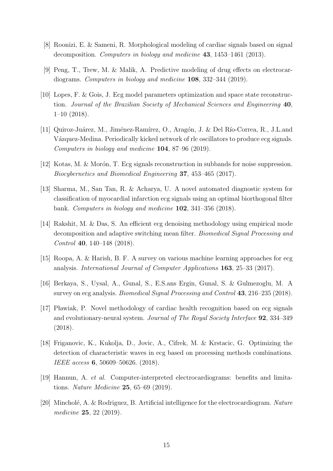- <span id="page-14-0"></span>[8] Roonizi, E. & Sameni, R. Morphological modeling of cardiac signals based on signal decomposition. Computers in biology and medicine 43, 1453–1461 (2013).
- <span id="page-14-1"></span>[9] Peng, T., Trew, M. & Malik, A. Predictive modeling of drug effects on electrocardiograms. Computers in biology and medicine 108, 332–344 (2019).
- <span id="page-14-2"></span>[10] Lopes, F. & Gois, J. Ecg model parameters optimization and space state reconstruction. Journal of the Brazilian Society of Mechanical Sciences and Engineering 40, 1–10 (2018).
- <span id="page-14-3"></span>[11] Quiroz-Juárez, M., Jiménez-Ramírez, O., Aragón, J. & Del Río-Correa, R., J.L.and Vázquez-Medina. Periodically kicked network of rlc oscillators to produce ecg signals. Computers in biology and medicine 104, 87–96 (2019).
- <span id="page-14-4"></span>[12] Kotas, M. & Morón, T. Ecg signals reconstruction in subbands for noise suppression. Biocybernetics and Biomedical Engineering 37, 453–465 (2017).
- <span id="page-14-5"></span>[13] Sharma, M., San Tan, R. & Acharya, U. A novel automated diagnostic system for classification of myocardial infarction ecg signals using an optimal biorthogonal filter bank. Computers in biology and medicine 102, 341–356 (2018).
- <span id="page-14-6"></span>[14] Rakshit, M. & Das, S. An efficient ecg denoising methodology using empirical mode decomposition and adaptive switching mean filter. Biomedical Signal Processing and Control 40, 140–148 (2018).
- <span id="page-14-7"></span>[15] Roopa, A. & Harish, B. F. A survey on various machine learning approaches for ecg analysis. International Journal of Computer Applications 163, 25–33 (2017).
- <span id="page-14-8"></span>[16] Berkaya, S., Uysal, A., Gunal, S., E.S.ans Ergin, Gunal, S. & Gulmezoglu, M. A survey on ecg analysis. Biomedical Signal Processing and Control 43, 216–235 (2018).
- <span id="page-14-9"></span>[17] Pławiak, P. Novel methodology of cardiac health recognition based on ecg signals and evolutionary-neural system. Journal of The Royal Society Interface 92, 334–349 (2018).
- <span id="page-14-10"></span>[18] Friganovic, K., Kukolja, D., Jovic, A., Cifrek, M. & Krstacic, G. Optimizing the detection of characteristic waves in ecg based on processing methods combinations. IEEE access 6, 50609–50626. (2018).
- <span id="page-14-11"></span>[19] Hannun, A. et al. Computer-interpreted electrocardiograms: benefits and limitations. Nature Medicine 25, 65–69 (2019).
- <span id="page-14-12"></span>[20] Mincholé, A. & Rodriguez, B. Artificial intelligence for the electrocardiogram. Nature medicine 25, 22 (2019).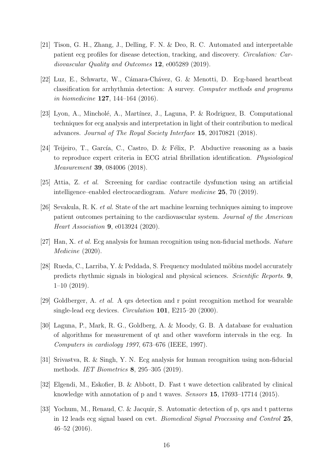- <span id="page-15-0"></span>[21] Tison, G. H., Zhang, J., Delling, F. N. & Deo, R. C. Automated and interpretable patient ecg profiles for disease detection, tracking, and discovery. Circulation: Cardiovascular Quality and Outcomes 12, e005289 (2019).
- <span id="page-15-1"></span>[22] Luz, E., Schwartz, W., Cámara-Chávez, G. & Menotti, D. Ecg-based heartbeat classification for arrhythmia detection: A survey. Computer methods and programs in biomedicine 127, 144–164 (2016).
- <span id="page-15-2"></span>[23] Lyon, A., Mincholé, A., Martínez, J., Laguna, P. & Rodriguez, B. Computational techniques for ecg analysis and interpretation in light of their contribution to medical advances. Journal of The Royal Society Interface 15, 20170821 (2018).
- <span id="page-15-3"></span>[24] Teijeiro, T., García, C., Castro, D. & Félix, P. Abductive reasoning as a basis to reproduce expert criteria in ECG atrial fibrillation identification. Physiological Measurement 39, 084006 (2018).
- <span id="page-15-4"></span>[25] Attia, Z. et al. Screening for cardiac contractile dysfunction using an artificial intelligence–enabled electrocardiogram. Nature medicine 25, 70 (2019).
- <span id="page-15-5"></span>[26] Sevakula, R. K. et al. State of the art machine learning techniques aiming to improve patient outcomes pertaining to the cardiovascular system. Journal of the American Heart Association 9, e013924 (2020).
- <span id="page-15-6"></span>[27] Han, X. et al. Ecg analysis for human recognition using non-fiducial methods. Nature Medicine (2020).
- <span id="page-15-7"></span>[28] Rueda, C., Larriba, Y. & Peddada, S. Frequency modulated möbius model accurately predicts rhythmic signals in biological and physical sciences. Scientific Reports. 9, 1–10 (2019).
- <span id="page-15-8"></span>[29] Goldberger, A. et al. A qrs detection and r point recognition method for wearable single-lead ecg devices. *Circulation* **101**, E215–20 (2000).
- <span id="page-15-9"></span>[30] Laguna, P., Mark, R. G., Goldberg, A. & Moody, G. B. A database for evaluation of algorithms for measurement of qt and other waveform intervals in the ecg. In Computers in cardiology 1997, 673–676 (IEEE, 1997).
- <span id="page-15-10"></span>[31] Srivastva, R. & Singh, Y. N. Ecg analysis for human recognition using non-fiducial methods. IET Biometrics 8, 295–305 (2019).
- <span id="page-15-11"></span>[32] Elgendi, M., Eskofier, B. & Abbott, D. Fast t wave detection calibrated by clinical knowledge with annotation of p and t waves. Sensors 15, 17693–17714 (2015).
- <span id="page-15-12"></span>[33] Yochum, M., Renaud, C. & Jacquir, S. Automatic detection of p, qrs and t patterns in 12 leads ecg signal based on cwt. Biomedical Signal Processing and Control 25, 46–52 (2016).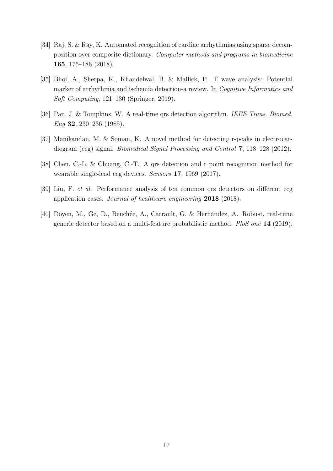- <span id="page-16-0"></span>[34] Raj, S. & Ray, K. Automated recognition of cardiac arrhythmias using sparse decomposition over composite dictionary. Computer methods and programs in biomedicine 165, 175–186 (2018).
- <span id="page-16-1"></span>[35] Bhoi, A., Sherpa, K., Khandelwal, B. & Mallick, P. T wave analysis: Potential marker of arrhythmia and ischemia detection-a review. In Cognitive Informatics and Soft Computing, 121–130 (Springer, 2019).
- <span id="page-16-2"></span>[36] Pan, J. & Tompkins, W. A real-time qrs detection algorithm. IEEE Trans. Biomed. Eng 32, 230–236 (1985).
- <span id="page-16-3"></span>[37] Manikandan, M. & Soman, K. A novel method for detecting r-peaks in electrocardiogram (ecg) signal. Biomedical Signal Processing and Control 7, 118–128 (2012).
- <span id="page-16-4"></span>[38] Chen, C.-L. & Chuang, C.-T. A qrs detection and r point recognition method for wearable single-lead ecg devices. Sensors 17, 1969 (2017).
- <span id="page-16-5"></span>[39] Liu, F. *et al.* Performance analysis of ten common qrs detectors on different ecg application cases. Journal of healthcare engineering 2018 (2018).
- <span id="page-16-6"></span>[40] Doyen, M., Ge, D., Beuchée, A., Carrault, G. & Hernández, A. Robust, real-time generic detector based on a multi-feature probabilistic method. PloS one 14 (2019).